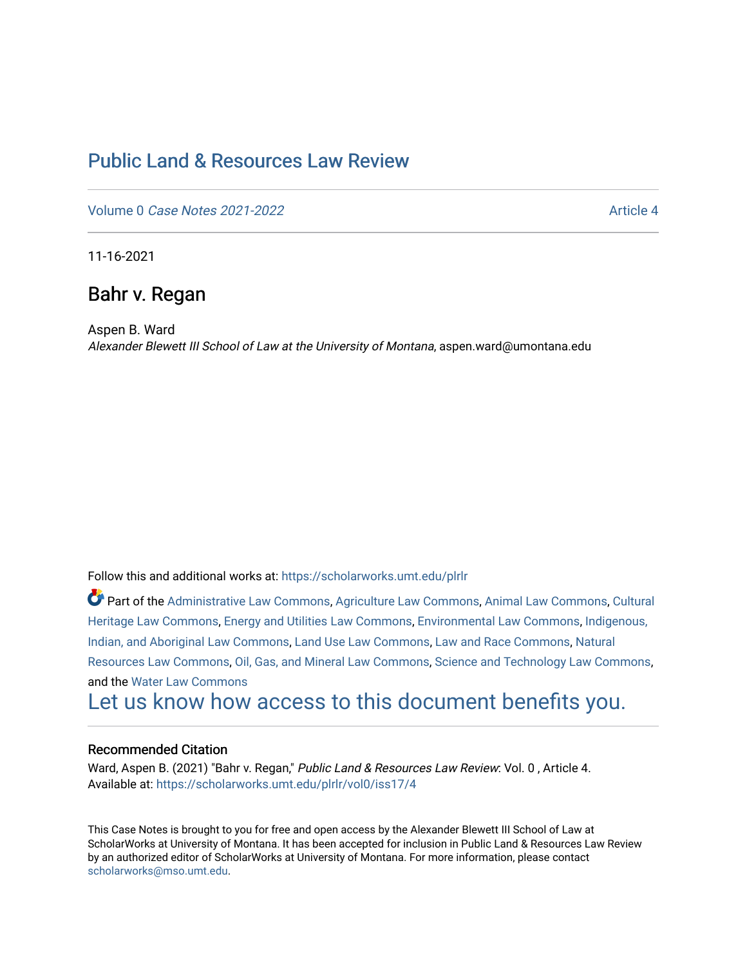# [Public Land & Resources Law Review](https://scholarworks.umt.edu/plrlr)

Volume 0 [Case Notes 2021-2022](https://scholarworks.umt.edu/plrlr/vol0) Article 4

11-16-2021

## Bahr v. Regan

Aspen B. Ward Alexander Blewett III School of Law at the University of Montana, aspen.ward@umontana.edu

Follow this and additional works at: [https://scholarworks.umt.edu/plrlr](https://scholarworks.umt.edu/plrlr?utm_source=scholarworks.umt.edu%2Fplrlr%2Fvol0%2Fiss17%2F4&utm_medium=PDF&utm_campaign=PDFCoverPages) 

Part of the [Administrative Law Commons,](http://network.bepress.com/hgg/discipline/579?utm_source=scholarworks.umt.edu%2Fplrlr%2Fvol0%2Fiss17%2F4&utm_medium=PDF&utm_campaign=PDFCoverPages) [Agriculture Law Commons](http://network.bepress.com/hgg/discipline/581?utm_source=scholarworks.umt.edu%2Fplrlr%2Fvol0%2Fiss17%2F4&utm_medium=PDF&utm_campaign=PDFCoverPages), [Animal Law Commons](http://network.bepress.com/hgg/discipline/831?utm_source=scholarworks.umt.edu%2Fplrlr%2Fvol0%2Fiss17%2F4&utm_medium=PDF&utm_campaign=PDFCoverPages), Cultural [Heritage Law Commons](http://network.bepress.com/hgg/discipline/1384?utm_source=scholarworks.umt.edu%2Fplrlr%2Fvol0%2Fiss17%2F4&utm_medium=PDF&utm_campaign=PDFCoverPages), [Energy and Utilities Law Commons,](http://network.bepress.com/hgg/discipline/891?utm_source=scholarworks.umt.edu%2Fplrlr%2Fvol0%2Fiss17%2F4&utm_medium=PDF&utm_campaign=PDFCoverPages) [Environmental Law Commons](http://network.bepress.com/hgg/discipline/599?utm_source=scholarworks.umt.edu%2Fplrlr%2Fvol0%2Fiss17%2F4&utm_medium=PDF&utm_campaign=PDFCoverPages), [Indigenous,](http://network.bepress.com/hgg/discipline/894?utm_source=scholarworks.umt.edu%2Fplrlr%2Fvol0%2Fiss17%2F4&utm_medium=PDF&utm_campaign=PDFCoverPages)  [Indian, and Aboriginal Law Commons](http://network.bepress.com/hgg/discipline/894?utm_source=scholarworks.umt.edu%2Fplrlr%2Fvol0%2Fiss17%2F4&utm_medium=PDF&utm_campaign=PDFCoverPages), [Land Use Law Commons](http://network.bepress.com/hgg/discipline/852?utm_source=scholarworks.umt.edu%2Fplrlr%2Fvol0%2Fiss17%2F4&utm_medium=PDF&utm_campaign=PDFCoverPages), [Law and Race Commons,](http://network.bepress.com/hgg/discipline/1300?utm_source=scholarworks.umt.edu%2Fplrlr%2Fvol0%2Fiss17%2F4&utm_medium=PDF&utm_campaign=PDFCoverPages) [Natural](http://network.bepress.com/hgg/discipline/863?utm_source=scholarworks.umt.edu%2Fplrlr%2Fvol0%2Fiss17%2F4&utm_medium=PDF&utm_campaign=PDFCoverPages) [Resources Law Commons](http://network.bepress.com/hgg/discipline/863?utm_source=scholarworks.umt.edu%2Fplrlr%2Fvol0%2Fiss17%2F4&utm_medium=PDF&utm_campaign=PDFCoverPages), [Oil, Gas, and Mineral Law Commons](http://network.bepress.com/hgg/discipline/864?utm_source=scholarworks.umt.edu%2Fplrlr%2Fvol0%2Fiss17%2F4&utm_medium=PDF&utm_campaign=PDFCoverPages), [Science and Technology Law Commons,](http://network.bepress.com/hgg/discipline/875?utm_source=scholarworks.umt.edu%2Fplrlr%2Fvol0%2Fiss17%2F4&utm_medium=PDF&utm_campaign=PDFCoverPages) and the [Water Law Commons](http://network.bepress.com/hgg/discipline/887?utm_source=scholarworks.umt.edu%2Fplrlr%2Fvol0%2Fiss17%2F4&utm_medium=PDF&utm_campaign=PDFCoverPages)

[Let us know how access to this document benefits you.](https://goo.gl/forms/s2rGfXOLzz71qgsB2) 

## Recommended Citation

Ward, Aspen B. (2021) "Bahr v. Regan," Public Land & Resources Law Review: Vol. 0, Article 4. Available at: [https://scholarworks.umt.edu/plrlr/vol0/iss17/4](https://scholarworks.umt.edu/plrlr/vol0/iss17/4?utm_source=scholarworks.umt.edu%2Fplrlr%2Fvol0%2Fiss17%2F4&utm_medium=PDF&utm_campaign=PDFCoverPages)

This Case Notes is brought to you for free and open access by the Alexander Blewett III School of Law at ScholarWorks at University of Montana. It has been accepted for inclusion in Public Land & Resources Law Review by an authorized editor of ScholarWorks at University of Montana. For more information, please contact [scholarworks@mso.umt.edu.](mailto:scholarworks@mso.umt.edu)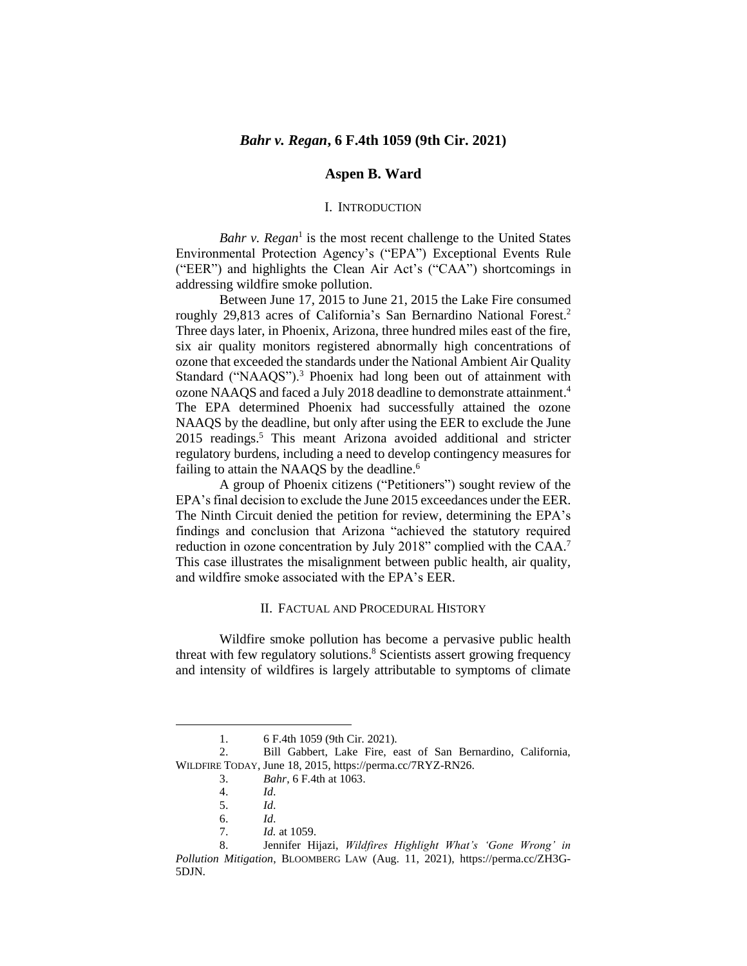## **Aspen B. Ward**

#### I. INTRODUCTION

Bahr v. Regan<sup>1</sup> is the most recent challenge to the United States Environmental Protection Agency's ("EPA") Exceptional Events Rule ("EER") and highlights the Clean Air Act's ("CAA") shortcomings in addressing wildfire smoke pollution.

Between June 17, 2015 to June 21, 2015 the Lake Fire consumed roughly 29,813 acres of California's San Bernardino National Forest. 2 Three days later, in Phoenix, Arizona, three hundred miles east of the fire, six air quality monitors registered abnormally high concentrations of ozone that exceeded the standards under the National Ambient Air Quality Standard ("NAAQS").<sup>3</sup> Phoenix had long been out of attainment with ozone NAAQS and faced a July 2018 deadline to demonstrate attainment. 4 The EPA determined Phoenix had successfully attained the ozone NAAQS by the deadline, but only after using the EER to exclude the June 2015 readings. <sup>5</sup> This meant Arizona avoided additional and stricter regulatory burdens, including a need to develop contingency measures for failing to attain the NAAQS by the deadline.<sup>6</sup>

A group of Phoenix citizens ("Petitioners") sought review of the EPA's final decision to exclude the June 2015 exceedances under the EER. The Ninth Circuit denied the petition for review, determining the EPA's findings and conclusion that Arizona "achieved the statutory required reduction in ozone concentration by July 2018" complied with the CAA.<sup>7</sup> This case illustrates the misalignment between public health, air quality, and wildfire smoke associated with the EPA's EER.

#### II. FACTUAL AND PROCEDURAL HISTORY

Wildfire smoke pollution has become a pervasive public health threat with few regulatory solutions. <sup>8</sup> Scientists assert growing frequency and intensity of wildfires is largely attributable to symptoms of climate

<sup>1. 6</sup> F.4th 1059 (9th Cir. 2021).<br>2. Bill Gabbert. Lake Fire. e.

<sup>2.</sup> Bill Gabbert, Lake Fire, east of San Bernardino, California, WILDFIRE TODAY, June 18, 2015, https://perma.cc/7RYZ-RN26.

<sup>3.</sup> *Bahr*, 6 F.4th at 1063.

<sup>4.</sup> *Id*.

<sup>5.</sup> *Id*.

<sup>6.</sup> *Id*.

<sup>7.</sup> *Id.* at 1059.

<sup>8.</sup> Jennifer Hijazi, *Wildfires Highlight What's 'Gone Wrong' in Pollution Mitigation*, BLOOMBERG LAW (Aug. 11, 2021), https://perma.cc/ZH3G-5DJN.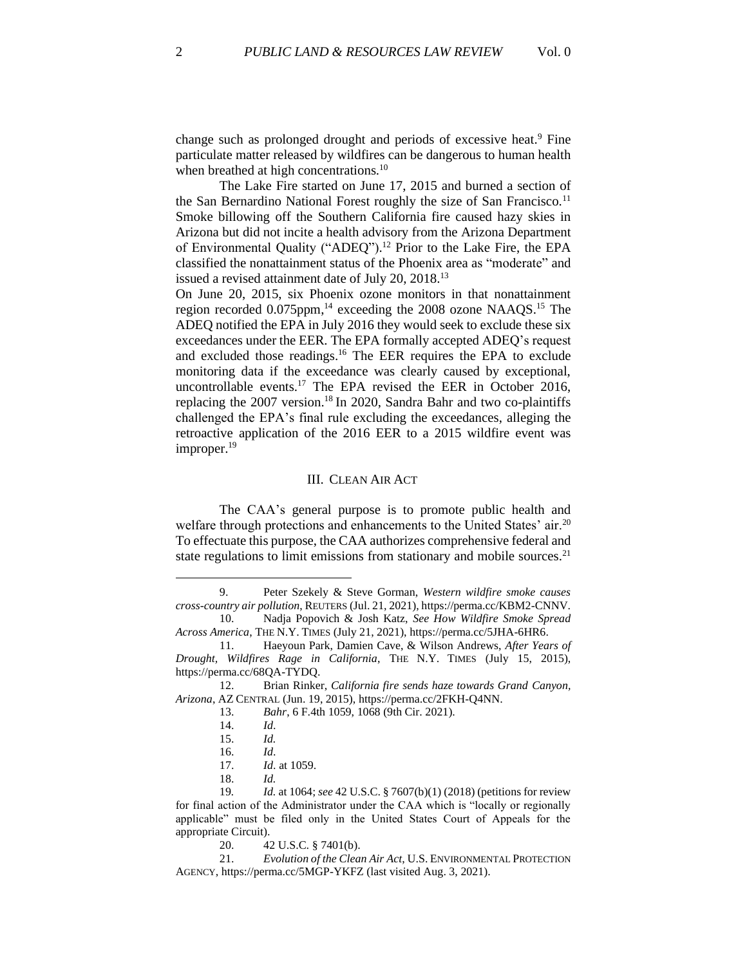change such as prolonged drought and periods of excessive heat.<sup>9</sup> Fine particulate matter released by wildfires can be dangerous to human health when breathed at high concentrations.<sup>10</sup>

The Lake Fire started on June 17, 2015 and burned a section of the San Bernardino National Forest roughly the size of San Francisco.<sup>11</sup> Smoke billowing off the Southern California fire caused hazy skies in Arizona but did not incite a health advisory from the Arizona Department of Environmental Quality ("ADEQ").<sup>12</sup> Prior to the Lake Fire, the EPA classified the nonattainment status of the Phoenix area as "moderate" and issued a revised attainment date of July 20, 2018.<sup>13</sup>

On June 20, 2015, six Phoenix ozone monitors in that nonattainment region recorded 0.075ppm, <sup>14</sup> exceeding the 2008 ozone NAAQS.<sup>15</sup> The ADEQ notified the EPA in July 2016 they would seek to exclude these six exceedances under the EER. The EPA formally accepted ADEQ's request and excluded those readings. <sup>16</sup> The EER requires the EPA to exclude monitoring data if the exceedance was clearly caused by exceptional, uncontrollable events.<sup>17</sup> The EPA revised the EER in October 2016, replacing the 2007 version.<sup>18</sup> In 2020, Sandra Bahr and two co-plaintiffs challenged the EPA's final rule excluding the exceedances, alleging the retroactive application of the 2016 EER to a 2015 wildfire event was improper. 19

#### III. CLEAN AIR ACT

The CAA's general purpose is to promote public health and welfare through protections and enhancements to the United States' air.<sup>20</sup> To effectuate this purpose, the CAA authorizes comprehensive federal and state regulations to limit emissions from stationary and mobile sources.<sup>21</sup>

18. *Id.*

<sup>9.</sup> Peter Szekely & Steve Gorman, *Western wildfire smoke causes cross-country air pollution*, REUTERS (Jul. 21, 2021), https://perma.cc/KBM2-CNNV.

<sup>10.</sup> Nadja Popovich & Josh Katz, *See How Wildfire Smoke Spread Across America*, THE N.Y. TIMES (July 21, 2021), https://perma.cc/5JHA-6HR6.

<sup>11.</sup> Haeyoun Park, Damien Cave, & Wilson Andrews, *After Years of Drought, Wildfires Rage in California*, THE N.Y. TIMES (July 15, 2015), https://perma.cc/68QA-TYDQ.

<sup>12.</sup> Brian Rinker, *California fire sends haze towards Grand Canyon, Arizona*, AZ CENTRAL (Jun. 19, 2015), https://perma.cc/2FKH-Q4NN.

<sup>13.</sup> *Bahr*, 6 F.4th 1059, 1068 (9th Cir. 2021).

<sup>14.</sup> *Id*.

<sup>15.</sup> *Id.* 

<sup>16.</sup> *Id*.

<sup>17.</sup> *Id*. at 1059.

<sup>19</sup>*. Id.* at 1064; *see* 42 U.S.C. § 7607(b)(1) (2018) (petitions for review for final action of the Administrator under the CAA which is "locally or regionally applicable" must be filed only in the United States Court of Appeals for the appropriate Circuit).

<sup>20.</sup> 42 U.S.C. § 7401(b).

<sup>21.</sup> *Evolution of the Clean Air Act*, U.S. ENVIRONMENTAL PROTECTION AGENCY, https://perma.cc/5MGP-YKFZ (last visited Aug. 3, 2021).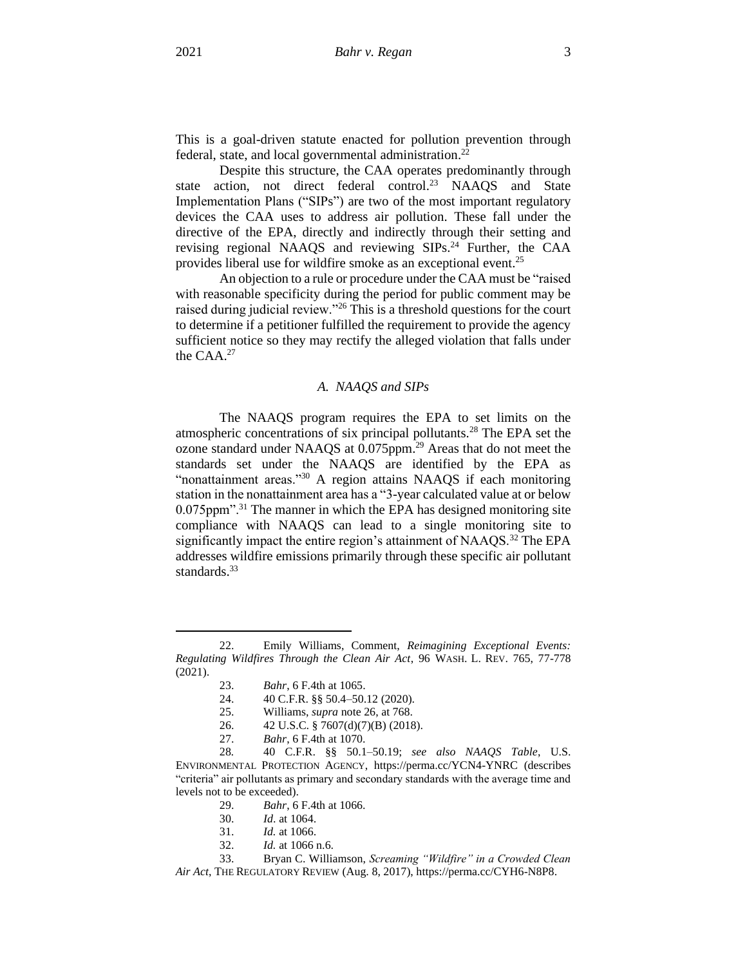This is a goal-driven statute enacted for pollution prevention through federal, state, and local governmental administration.<sup>22</sup>

Despite this structure, the CAA operates predominantly through state action, not direct federal control.<sup>23</sup> NAAQS and State Implementation Plans ("SIPs") are two of the most important regulatory devices the CAA uses to address air pollution. These fall under the directive of the EPA, directly and indirectly through their setting and revising regional NAAQS and reviewing SIPs.<sup>24</sup> Further, the CAA provides liberal use for wildfire smoke as an exceptional event.<sup>25</sup>

An objection to a rule or procedure under the CAA must be "raised with reasonable specificity during the period for public comment may be raised during judicial review."<sup>26</sup> This is a threshold questions for the court to determine if a petitioner fulfilled the requirement to provide the agency sufficient notice so they may rectify the alleged violation that falls under the CAA.<sup>27</sup>

#### *A. NAAQS and SIPs*

The NAAQS program requires the EPA to set limits on the atmospheric concentrations of six principal pollutants.<sup>28</sup> The EPA set the ozone standard under NAAQS at 0.075ppm.<sup>29</sup> Areas that do not meet the standards set under the NAAQS are identified by the EPA as "nonattainment areas."<sup>30</sup> A region attains NAAQS if each monitoring station in the nonattainment area has a "3-year calculated value at or below  $0.075$ ppm".<sup>31</sup> The manner in which the EPA has designed monitoring site compliance with NAAQS can lead to a single monitoring site to significantly impact the entire region's attainment of NAAQS.<sup>32</sup> The EPA addresses wildfire emissions primarily through these specific air pollutant standards.<sup>33</sup>

- 26. 42 U.S.C. § 7607(d)(7)(B) (2018).
- 27. *Bahr*, 6 F.4th at 1070.

28*.* 40 C.F.R. §§ 50.1–50.19; *see also NAAQS Table*, U.S. ENVIRONMENTAL PROTECTION AGENCY, https://perma.cc/YCN4-YNRC (describes "criteria" air pollutants as primary and secondary standards with the average time and levels not to be exceeded).

- 29. *Bahr*, 6 F.4th at 1066.
- 30. *Id*. at 1064.
- 31. *Id.* at 1066.
- *Id.* at 1066 n.6.

33. Bryan C. Williamson, *Screaming "Wildfire" in a Crowded Clean Air Act*, THE REGULATORY REVIEW (Aug. 8, 2017), https://perma.cc/CYH6-N8P8.

<sup>22.</sup> Emily Williams, Comment, *Reimagining Exceptional Events: Regulating Wildfires Through the Clean Air Act*, 96 WASH. L. REV. 765, 77-778 (2021).

<sup>23.</sup> *Bahr*, 6 F.4th at 1065.

<sup>24.</sup> 40 C.F.R. §§ 50.4–50.12 (2020).

<sup>25.</sup> Williams, *supra* note 26, at 768.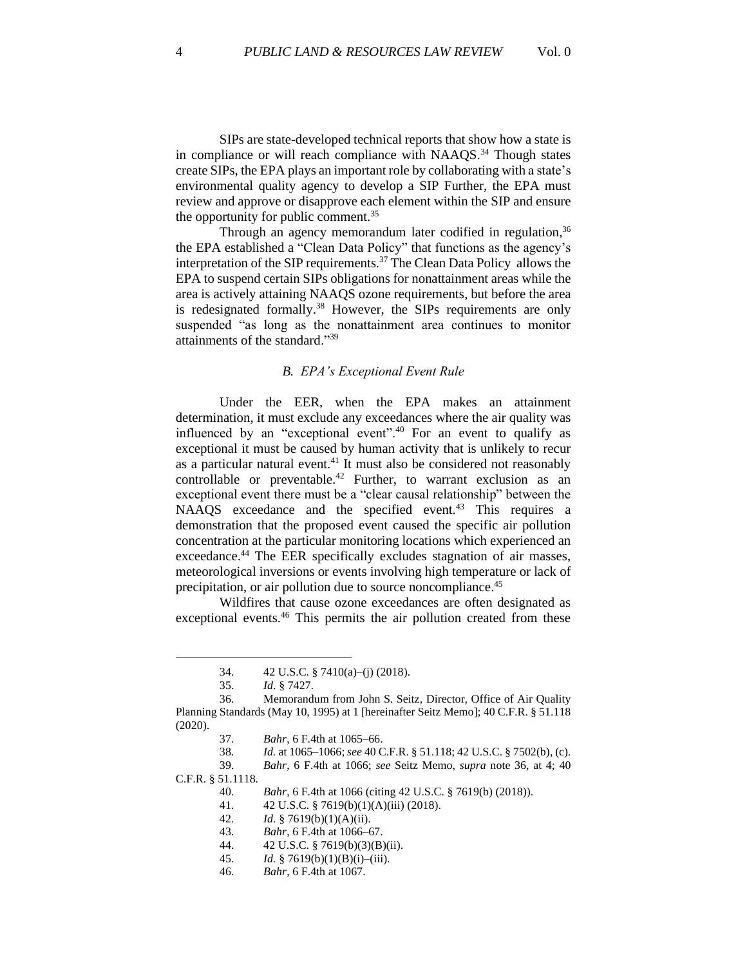SIPs are state-developed technical reports that show how a state is in compliance or will reach compliance with  $NAAQS$ <sup>34</sup> Though states create SIPs, the EPA plays an important role by collaborating with a state's environmental quality agency to develop a SIP Further, the EPA must review and approve or disapprove each element within the SIP and ensure the opportunity for public comment.<sup>35</sup>

Through an agency memorandum later codified in regulation,<sup>36</sup> the EPA established a "Clean Data Policy" that functions as the agency's interpretation of the SIP requirements.<sup>37</sup> The Clean Data Policy allows the EPA to suspend certain SIPs obligations for nonattainment areas while the area is actively attaining NAAQS ozone requirements, but before the area is redesignated formally.<sup>38</sup> However, the SIPs requirements are only suspended "as long as the nonattainment area continues to monitor attainments of the standard."<sup>39</sup>

## *B. EPA's Exceptional Event Rule*

Under the EER, when the EPA makes an attainment determination, it must exclude any exceedances where the air quality was influenced by an "exceptional event".<sup>40</sup> For an event to qualify as exceptional it must be caused by human activity that is unlikely to recur as a particular natural event. $41$  It must also be considered not reasonably controllable or preventable.<sup>42</sup> Further, to warrant exclusion as an exceptional event there must be a "clear causal relationship" between the NAAQS exceedance and the specified event.<sup>43</sup> This requires a demonstration that the proposed event caused the specific air pollution concentration at the particular monitoring locations which experienced an exceedance.<sup>44</sup> The EER specifically excludes stagnation of air masses, meteorological inversions or events involving high temperature or lack of precipitation, or air pollution due to source noncompliance.<sup>45</sup>

Wildfires that cause ozone exceedances are often designated as exceptional events.<sup>46</sup> This permits the air pollution created from these

39. *Bahr*, 6 F.4th at 1066; *see* Seitz Memo, *supra* note 36, at 4; 40 C.F.R. § 51.1118.

40. *Bahr*, 6 F.4th at 1066 (citing 42 U.S.C. § 7619(b) (2018)).

41. 42 U.S.C. § 7619(b)(1)(A)(iii) (2018).

<sup>34.</sup> 42 U.S.C. § 7410(a)–(j) (2018).

<sup>35.</sup> *Id*. § 7427.

<sup>36.</sup> Memorandum from John S. Seitz*,* Director*,* Office of Air Quality Planning Standards (May 10, 1995) at 1 [hereinafter Seitz Memo]; 40 C.F.R. § 51.118 (2020).

<sup>37.</sup> *Bahr*, 6 F.4th at 1065–66.

<sup>38</sup>*. Id.* at 1065–1066; *see* 40 C.F.R. § 51.118; 42 U.S.C. § 7502(b), (c).

<sup>42.</sup> *Id*. § 7619(b)(1)(A)(ii).

<sup>43.</sup> *Bahr*, 6 F.4th at 1066–67.

<sup>44.</sup> 42 U.S.C. § 7619(b)(3)(B)(ii).

<sup>45.</sup> *Id.* § 7619(b)(1)(B)(i)–(iii).

<sup>46.</sup> *Bahr*, 6 F.4th at 1067.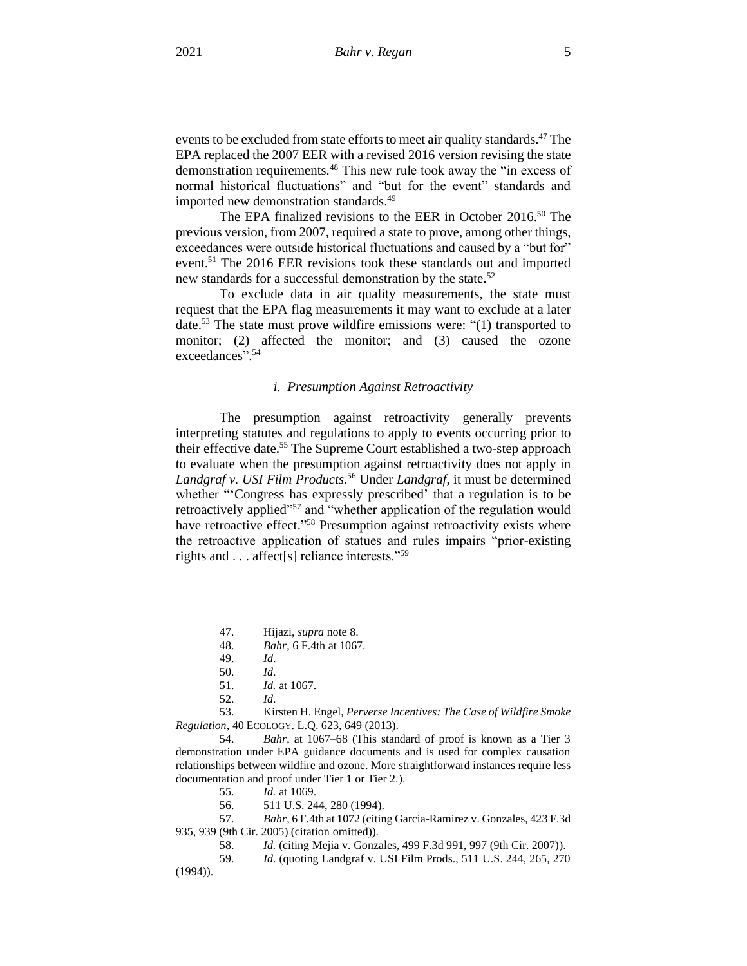events to be excluded from state efforts to meet air quality standards.<sup>47</sup> The EPA replaced the 2007 EER with a revised 2016 version revising the state demonstration requirements.<sup>48</sup> This new rule took away the "in excess of normal historical fluctuations" and "but for the event" standards and imported new demonstration standards.<sup>49</sup>

The EPA finalized revisions to the EER in October 2016.<sup>50</sup> The previous version, from 2007, required a state to prove, among other things, exceedances were outside historical fluctuations and caused by a "but for" event.<sup>51</sup> The 2016 EER revisions took these standards out and imported new standards for a successful demonstration by the state.<sup>52</sup>

To exclude data in air quality measurements, the state must request that the EPA flag measurements it may want to exclude at a later date.<sup>53</sup> The state must prove wildfire emissions were: "(1) transported to monitor; (2) affected the monitor; and (3) caused the ozone exceedances". 54

#### *i. Presumption Against Retroactivity*

The presumption against retroactivity generally prevents interpreting statutes and regulations to apply to events occurring prior to their effective date.<sup>55</sup> The Supreme Court established a two-step approach to evaluate when the presumption against retroactivity does not apply in *Landgraf v. USI Film Products*. <sup>56</sup> Under *Landgraf*, it must be determined whether "'Congress has expressly prescribed' that a regulation is to be retroactively applied"<sup>57</sup> and "whether application of the regulation would have retroactive effect."<sup>58</sup> Presumption against retroactivity exists where the retroactive application of statues and rules impairs "prior-existing rights and . . . affect[s] reliance interests."<sup>59</sup>

53. Kirsten H. Engel, *Perverse Incentives: The Case of Wildfire Smoke Regulation*, 40 ECOLOGY. L.Q. 623, 649 (2013).

54. *Bahr*, at 1067–68 (This standard of proof is known as a Tier 3 demonstration under EPA guidance documents and is used for complex causation relationships between wildfire and ozone. More straightforward instances require less documentation and proof under Tier 1 or Tier 2.).

57. *Bahr*, 6 F.4th at 1072 (citing Garcia-Ramirez v. Gonzales, 423 F.3d 935, 939 (9th Cir. 2005) (citation omitted)).

<sup>47.</sup> Hijazi, *supra* note 8.

<sup>48.</sup> *Bahr*, 6 F.4th at 1067.

<sup>49.</sup> *Id*.

<sup>50.</sup> *Id*.

<sup>51.</sup> *Id.* at 1067.

<sup>52.</sup> *Id*.

<sup>55.</sup> *Id.* at 1069.

<sup>56.</sup> 511 U.S. 244, 280 (1994).

<sup>58.</sup> *Id.* (citing Mejia v. Gonzales, 499 F.3d 991, 997 (9th Cir. 2007)).

<sup>59.</sup> *Id*. (quoting Landgraf v. USI Film Prods., 511 U.S. 244, 265, 270 (1994)).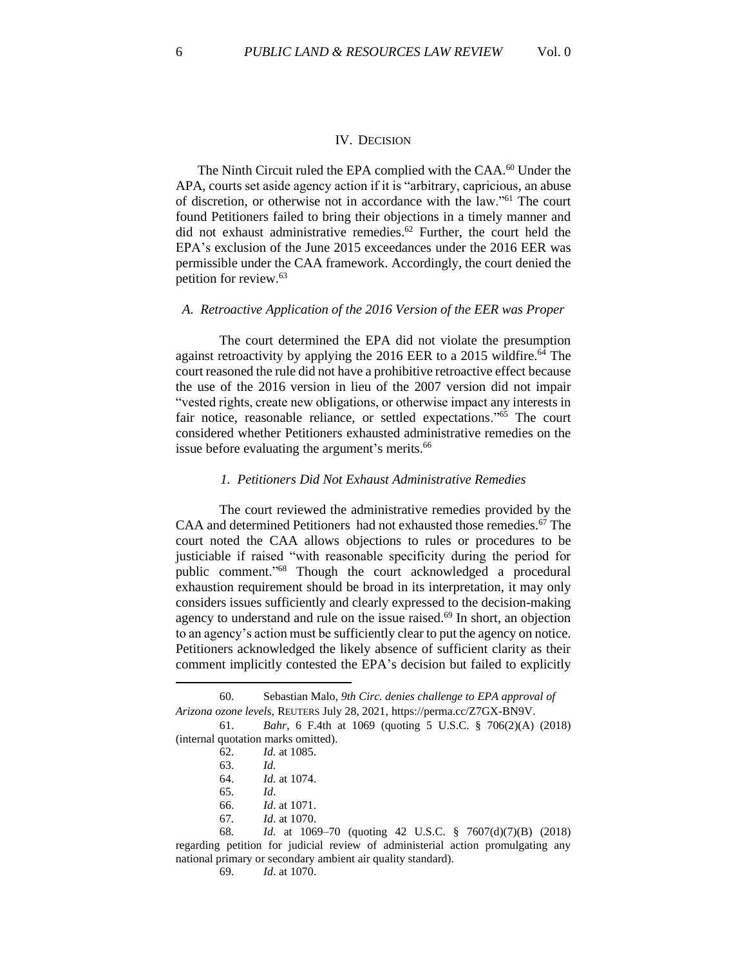#### IV. DECISION

The Ninth Circuit ruled the EPA complied with the CAA.<sup>60</sup> Under the APA, courts set aside agency action if it is "arbitrary, capricious, an abuse of discretion, or otherwise not in accordance with the law."<sup>61</sup> The court found Petitioners failed to bring their objections in a timely manner and did not exhaust administrative remedies. <sup>62</sup> Further, the court held the EPA's exclusion of the June 2015 exceedances under the 2016 EER was permissible under the CAA framework. Accordingly, the court denied the petition for review.<sup>63</sup>

#### *A. Retroactive Application of the 2016 Version of the EER was Proper*

The court determined the EPA did not violate the presumption against retroactivity by applying the 2016 EER to a 2015 wildfire.<sup>64</sup> The court reasoned the rule did not have a prohibitive retroactive effect because the use of the 2016 version in lieu of the 2007 version did not impair "vested rights, create new obligations, or otherwise impact any interests in fair notice, reasonable reliance, or settled expectations."<sup>65</sup> The court considered whether Petitioners exhausted administrative remedies on the issue before evaluating the argument's merits.<sup>66</sup>

#### *1. Petitioners Did Not Exhaust Administrative Remedies*

The court reviewed the administrative remedies provided by the CAA and determined Petitioners had not exhausted those remedies.<sup>67</sup> The court noted the CAA allows objections to rules or procedures to be justiciable if raised "with reasonable specificity during the period for public comment." <sup>68</sup> Though the court acknowledged a procedural exhaustion requirement should be broad in its interpretation, it may only considers issues sufficiently and clearly expressed to the decision-making agency to understand and rule on the issue raised.<sup>69</sup> In short, an objection to an agency's action must be sufficiently clear to put the agency on notice. Petitioners acknowledged the likely absence of sufficient clarity as their comment implicitly contested the EPA's decision but failed to explicitly

<sup>60.</sup> Sebastian Malo, *9th Circ. denies challenge to EPA approval of Arizona ozone levels*, REUTERS July 28, 2021, https://perma.cc/Z7GX-BN9V.

<sup>61.</sup> *Bahr*, 6 F.4th at 1069 (quoting 5 U.S.C. § 706(2)(A) (2018) (internal quotation marks omitted).

<sup>62.</sup> *Id.* at 1085.

<sup>63.</sup> *Id.*

<sup>64.</sup> *Id.* at 1074.

<sup>65.</sup> *Id*.

<sup>66.</sup> *Id*. at 1071.

<sup>67</sup>*. Id*. at 1070.

<sup>68</sup>*. Id.* at 1069–70 (quoting 42 U.S.C. § 7607(d)(7)(B) (2018) regarding petition for judicial review of administerial action promulgating any national primary or secondary ambient air quality standard).

<sup>69.</sup> *Id*. at 1070.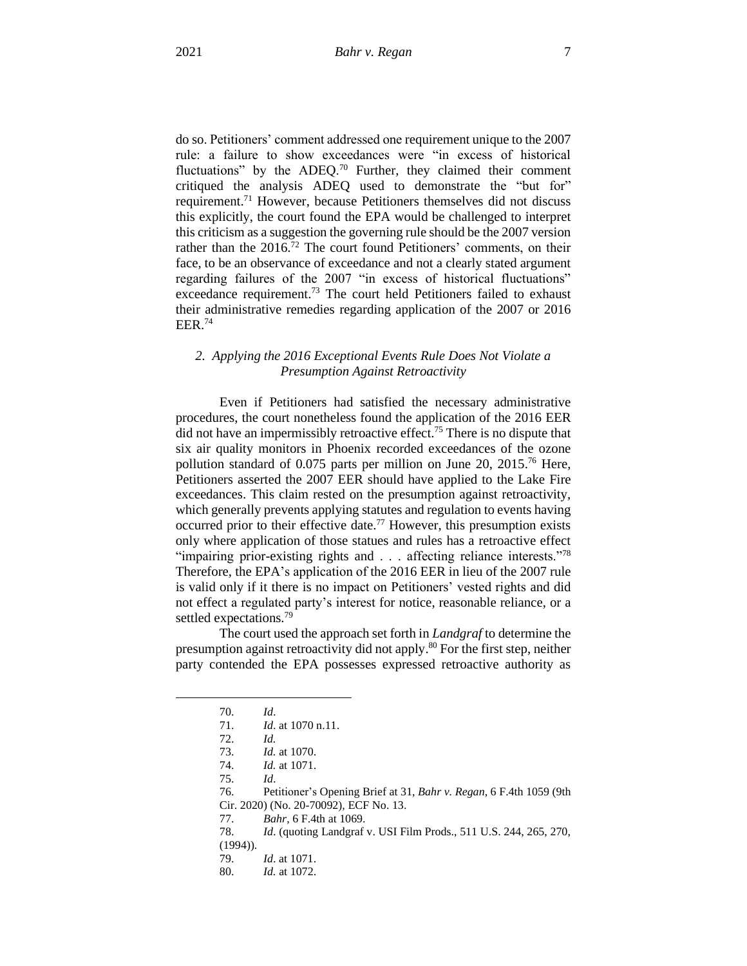do so. Petitioners' comment addressed one requirement unique to the 2007 rule: a failure to show exceedances were "in excess of historical fluctuations" by the ADEO.<sup>70</sup> Further, they claimed their comment critiqued the analysis ADEQ used to demonstrate the "but for" requirement.<sup>71</sup> However, because Petitioners themselves did not discuss this explicitly, the court found the EPA would be challenged to interpret this criticism as a suggestion the governing rule should be the 2007 version rather than the 2016.<sup>72</sup> The court found Petitioners' comments, on their face, to be an observance of exceedance and not a clearly stated argument regarding failures of the 2007 "in excess of historical fluctuations" exceedance requirement.<sup>73</sup> The court held Petitioners failed to exhaust their administrative remedies regarding application of the 2007 or 2016 EER. 74

## *2. Applying the 2016 Exceptional Events Rule Does Not Violate a Presumption Against Retroactivity*

Even if Petitioners had satisfied the necessary administrative procedures, the court nonetheless found the application of the 2016 EER did not have an impermissibly retroactive effect.<sup>75</sup> There is no dispute that six air quality monitors in Phoenix recorded exceedances of the ozone pollution standard of 0.075 parts per million on June 20, 2015. <sup>76</sup> Here, Petitioners asserted the 2007 EER should have applied to the Lake Fire exceedances. This claim rested on the presumption against retroactivity, which generally prevents applying statutes and regulation to events having occurred prior to their effective date.<sup>77</sup> However, this presumption exists only where application of those statues and rules has a retroactive effect "impairing prior-existing rights and . . . affecting reliance interests."<sup>78</sup> Therefore, the EPA's application of the 2016 EER in lieu of the 2007 rule is valid only if it there is no impact on Petitioners' vested rights and did not effect a regulated party's interest for notice, reasonable reliance, or a settled expectations.<sup>79</sup>

The court used the approach set forth in *Landgraf* to determine the presumption against retroactivity did not apply. <sup>80</sup> For the first step, neither party contended the EPA possesses expressed retroactive authority as

75. *Id*.

<sup>70.</sup> *Id*.

<sup>71.</sup> *Id*. at 1070 n.11.

<sup>72.</sup> *Id.*

<sup>73.</sup> *Id.* at 1070.

<sup>74.</sup> *Id.* at 1071.

<sup>76.</sup> Petitioner's Opening Brief at 31, *Bahr v. Regan*, 6 F.4th 1059 (9th Cir. 2020) (No. 20-70092), ECF No. 13.

<sup>77.</sup> *Bahr*, 6 F.4th at 1069.

<sup>78.</sup> *Id*. (quoting Landgraf v. USI Film Prods., 511 U.S. 244, 265, 270, (1994)).

<sup>79.</sup> *Id*. at 1071.

<sup>80.</sup> *Id.* at 1072.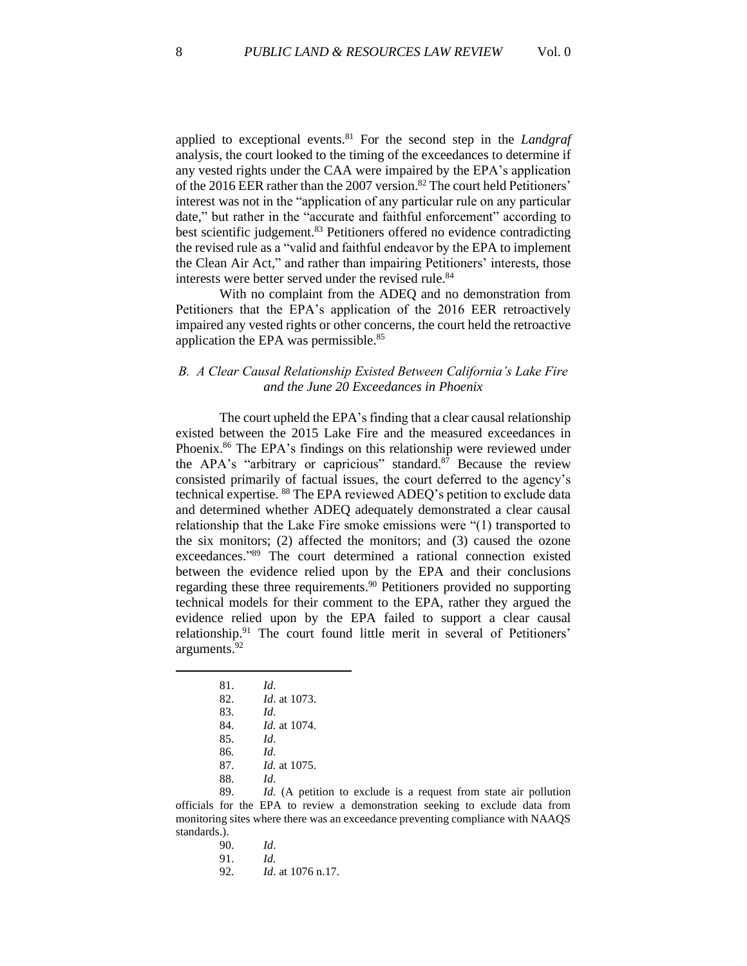applied to exceptional events.<sup>81</sup> For the second step in the *Landgraf* analysis, the court looked to the timing of the exceedances to determine if any vested rights under the CAA were impaired by the EPA's application of the 2016 EER rather than the 2007 version.<sup>82</sup> The court held Petitioners' interest was not in the "application of any particular rule on any particular date," but rather in the "accurate and faithful enforcement" according to best scientific judgement.<sup>83</sup> Petitioners offered no evidence contradicting the revised rule as a "valid and faithful endeavor by the EPA to implement the Clean Air Act," and rather than impairing Petitioners' interests, those interests were better served under the revised rule.<sup>84</sup>

With no complaint from the ADEQ and no demonstration from Petitioners that the EPA's application of the 2016 EER retroactively impaired any vested rights or other concerns, the court held the retroactive application the EPA was permissible. 85

## *B. A Clear Causal Relationship Existed Between California's Lake Fire and the June 20 Exceedances in Phoenix*

The court upheld the EPA's finding that a clear causal relationship existed between the 2015 Lake Fire and the measured exceedances in Phoenix.<sup>86</sup> The EPA's findings on this relationship were reviewed under the APA's "arbitrary or capricious" standard.<sup>87</sup> Because the review consisted primarily of factual issues, the court deferred to the agency's technical expertise. <sup>88</sup> The EPA reviewed ADEQ's petition to exclude data and determined whether ADEQ adequately demonstrated a clear causal relationship that the Lake Fire smoke emissions were "(1) transported to the six monitors; (2) affected the monitors; and (3) caused the ozone exceedances." <sup>89</sup> The court determined a rational connection existed between the evidence relied upon by the EPA and their conclusions regarding these three requirements.<sup>90</sup> Petitioners provided no supporting technical models for their comment to the EPA, rather they argued the evidence relied upon by the EPA failed to support a clear causal relationship.<sup>91</sup> The court found little merit in several of Petitioners' arguments. 92

| 81. | Id.                    |
|-----|------------------------|
| 82. | <i>Id.</i> at 1073.    |
| 83. | Id.                    |
| 84. | <i>Id.</i> at $1074$ . |
| 85. | Id                     |
| 86. | Id.                    |
| 87. | <i>Id.</i> at 1075.    |
| 88. | Ы                      |

89. *Id.* (A petition to exclude is a request from state air pollution officials for the EPA to review a demonstration seeking to exclude data from monitoring sites where there was an exceedance preventing compliance with NAAQS standards.).

> 90. *Id*. 91. *Id.*  92. *Id*. at 1076 n.17.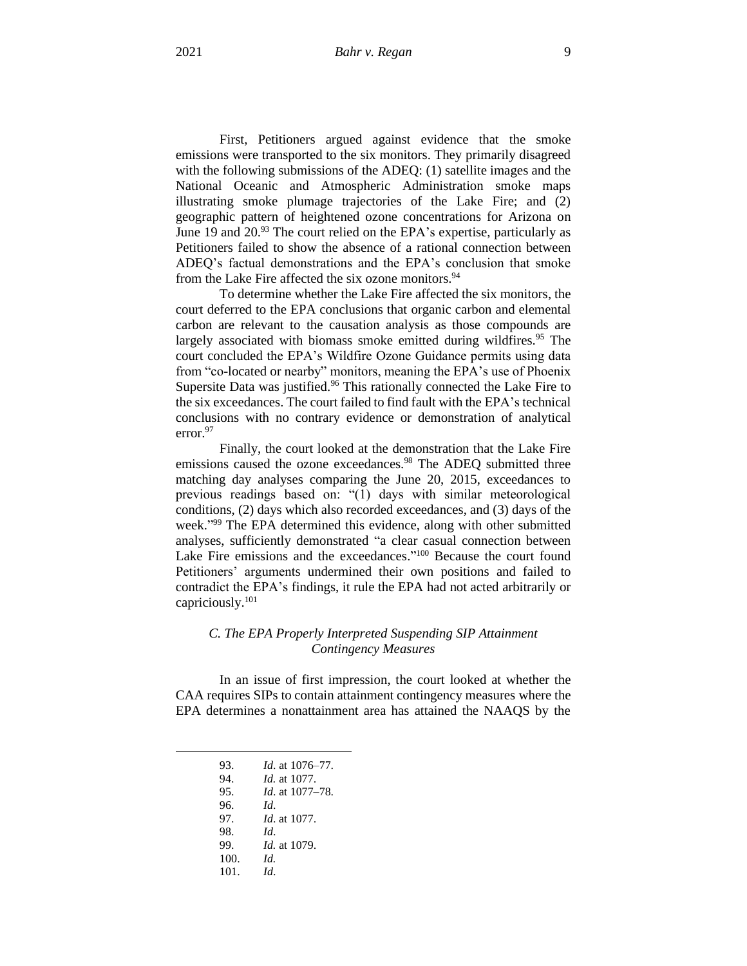First, Petitioners argued against evidence that the smoke emissions were transported to the six monitors. They primarily disagreed with the following submissions of the ADEQ: (1) satellite images and the National Oceanic and Atmospheric Administration smoke maps illustrating smoke plumage trajectories of the Lake Fire; and (2) geographic pattern of heightened ozone concentrations for Arizona on June 19 and 20.<sup>93</sup> The court relied on the EPA's expertise, particularly as Petitioners failed to show the absence of a rational connection between ADEQ's factual demonstrations and the EPA's conclusion that smoke from the Lake Fire affected the six ozone monitors.<sup>94</sup>

To determine whether the Lake Fire affected the six monitors, the court deferred to the EPA conclusions that organic carbon and elemental carbon are relevant to the causation analysis as those compounds are largely associated with biomass smoke emitted during wildfires.<sup>95</sup> The court concluded the EPA's Wildfire Ozone Guidance permits using data from "co-located or nearby" monitors, meaning the EPA's use of Phoenix Supersite Data was justified.<sup>96</sup> This rationally connected the Lake Fire to the six exceedances. The court failed to find fault with the EPA's technical conclusions with no contrary evidence or demonstration of analytical error. 97

Finally, the court looked at the demonstration that the Lake Fire emissions caused the ozone exceedances.<sup>98</sup> The ADEQ submitted three matching day analyses comparing the June 20, 2015, exceedances to previous readings based on: "(1) days with similar meteorological conditions, (2) days which also recorded exceedances, and (3) days of the week." <sup>99</sup> The EPA determined this evidence, along with other submitted analyses, sufficiently demonstrated "a clear casual connection between Lake Fire emissions and the exceedances."<sup>100</sup> Because the court found Petitioners' arguments undermined their own positions and failed to contradict the EPA's findings, it rule the EPA had not acted arbitrarily or capriciously.<sup>101</sup>

## *C. The EPA Properly Interpreted Suspending SIP Attainment Contingency Measures*

In an issue of first impression, the court looked at whether the CAA requires SIPs to contain attainment contingency measures where the EPA determines a nonattainment area has attained the NAAQS by the

| 93. |  | <i>Id.</i> at 1076–77. |
|-----|--|------------------------|
|     |  |                        |

- 94. *Id.* at 1077.
- 95. *Id*. at 1077–78.
- 96. *Id*.
- 97. *Id*. at 1077.
- 98. *Id*. 99. *Id.* at 1079.
- 100. *Id.*
- 101. *Id*.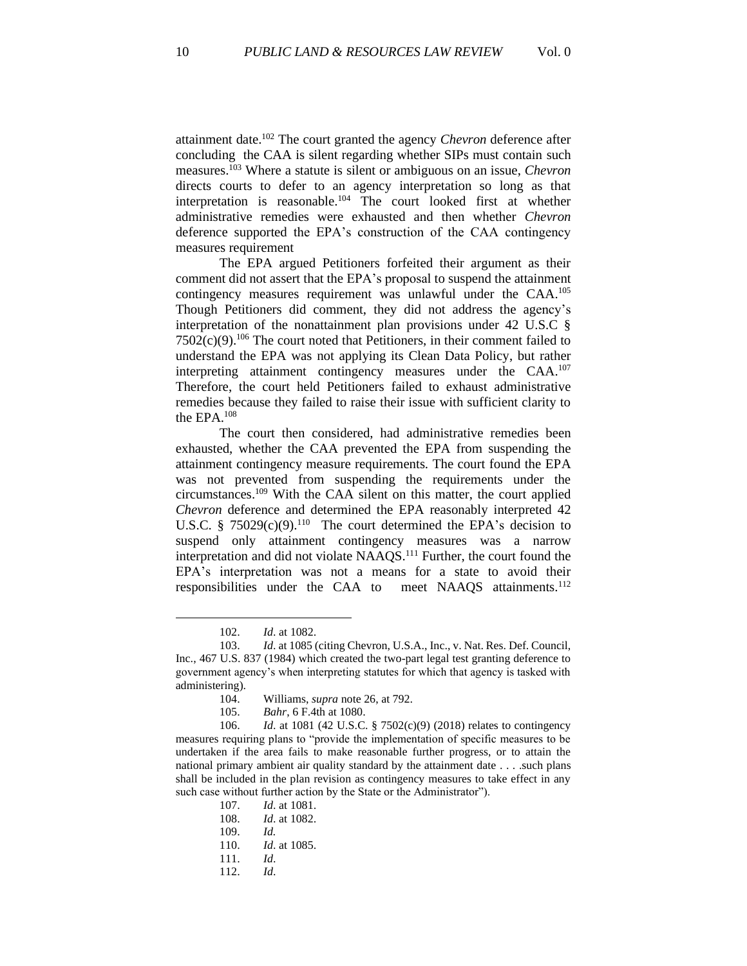attainment date. <sup>102</sup> The court granted the agency *Chevron* deference after concluding the CAA is silent regarding whether SIPs must contain such measures. <sup>103</sup> Where a statute is silent or ambiguous on an issue, *Chevron*  directs courts to defer to an agency interpretation so long as that interpretation is reasonable.<sup>104</sup> The court looked first at whether administrative remedies were exhausted and then whether *Chevron* deference supported the EPA's construction of the CAA contingency measures requirement

The EPA argued Petitioners forfeited their argument as their comment did not assert that the EPA's proposal to suspend the attainment contingency measures requirement was unlawful under the CAA.<sup>105</sup> Though Petitioners did comment, they did not address the agency's interpretation of the nonattainment plan provisions under 42 U.S.C §  $7502(c)(9)$ .<sup>106</sup> The court noted that Petitioners, in their comment failed to understand the EPA was not applying its Clean Data Policy, but rather interpreting attainment contingency measures under the CAA. 107 Therefore, the court held Petitioners failed to exhaust administrative remedies because they failed to raise their issue with sufficient clarity to the EPA.<sup>108</sup>

The court then considered, had administrative remedies been exhausted, whether the CAA prevented the EPA from suspending the attainment contingency measure requirements. The court found the EPA was not prevented from suspending the requirements under the circumstances. <sup>109</sup> With the CAA silent on this matter, the court applied *Chevron* deference and determined the EPA reasonably interpreted 42 U.S.C. § 75029 $(c)(9)$ <sup>110</sup> The court determined the EPA's decision to suspend only attainment contingency measures was a narrow interpretation and did not violate NAAQS.<sup>111</sup> Further, the court found the EPA's interpretation was not a means for a state to avoid their responsibilities under the CAA to meet NAAQS attainments.<sup>112</sup>

107. *Id*. at 1081. 108. *Id*. at 1082. 109. *Id.* 110. *Id*. at 1085. 111. *Id*. 112. *Id*.

<sup>102.</sup> *Id*. at 1082.

<sup>103.</sup> *Id*. at 1085 (citing Chevron, U.S.A., Inc., v. Nat. Res. Def. Council, Inc., 467 U.S. 837 (1984) which created the two-part legal test granting deference to government agency's when interpreting statutes for which that agency is tasked with administering).

<sup>104.</sup> Williams, *supra* note 26, at 792.

<sup>105.</sup> *Bahr*, 6 F.4th at 1080.

<sup>106.</sup> *Id*. at 1081 (42 U.S.C. § 7502(c)(9) (2018) relates to contingency measures requiring plans to "provide the implementation of specific measures to be undertaken if the area fails to make reasonable further progress, or to attain the national primary ambient air quality standard by the attainment date . . . .such plans shall be included in the plan revision as contingency measures to take effect in any such case without further action by the State or the Administrator").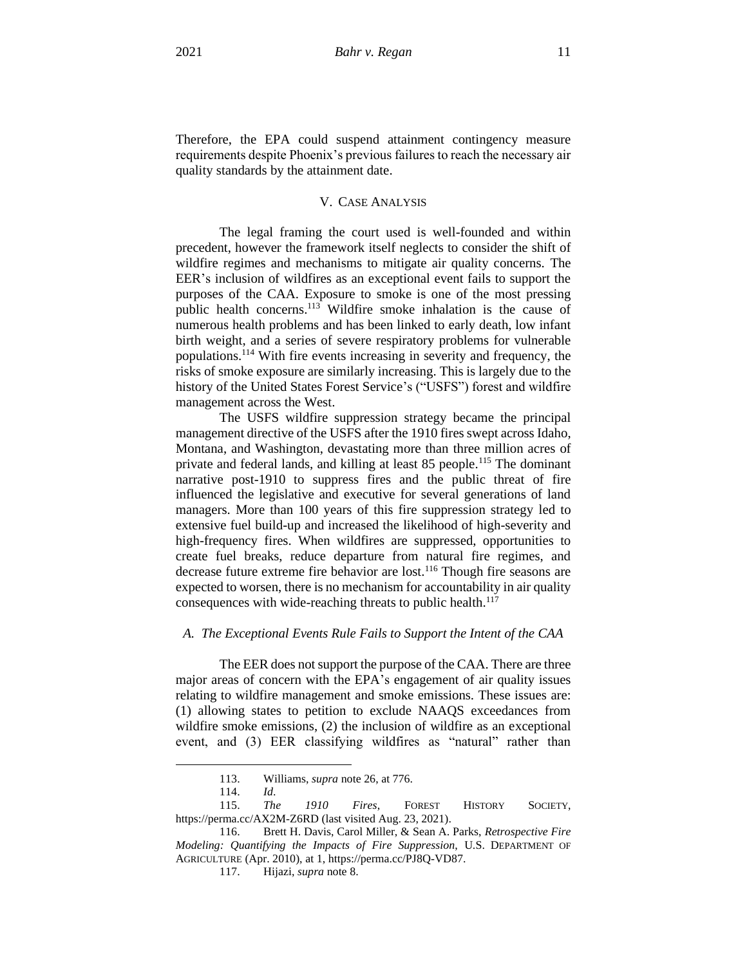Therefore, the EPA could suspend attainment contingency measure requirements despite Phoenix's previous failures to reach the necessary air quality standards by the attainment date.

## V. CASE ANALYSIS

The legal framing the court used is well-founded and within precedent, however the framework itself neglects to consider the shift of wildfire regimes and mechanisms to mitigate air quality concerns. The EER's inclusion of wildfires as an exceptional event fails to support the purposes of the CAA. Exposure to smoke is one of the most pressing public health concerns. <sup>113</sup> Wildfire smoke inhalation is the cause of numerous health problems and has been linked to early death, low infant birth weight, and a series of severe respiratory problems for vulnerable populations.<sup>114</sup> With fire events increasing in severity and frequency, the risks of smoke exposure are similarly increasing. This is largely due to the history of the United States Forest Service's ("USFS") forest and wildfire management across the West.

The USFS wildfire suppression strategy became the principal management directive of the USFS after the 1910 fires swept across Idaho, Montana, and Washington, devastating more than three million acres of private and federal lands, and killing at least 85 people.<sup>115</sup> The dominant narrative post-1910 to suppress fires and the public threat of fire influenced the legislative and executive for several generations of land managers. More than 100 years of this fire suppression strategy led to extensive fuel build-up and increased the likelihood of high-severity and high-frequency fires. When wildfires are suppressed, opportunities to create fuel breaks, reduce departure from natural fire regimes, and decrease future extreme fire behavior are lost.<sup>116</sup> Though fire seasons are expected to worsen, there is no mechanism for accountability in air quality consequences with wide-reaching threats to public health.<sup>117</sup>

#### *A. The Exceptional Events Rule Fails to Support the Intent of the CAA*

The EER does not support the purpose of the CAA. There are three major areas of concern with the EPA's engagement of air quality issues relating to wildfire management and smoke emissions. These issues are: (1) allowing states to petition to exclude NAAQS exceedances from wildfire smoke emissions, (2) the inclusion of wildfire as an exceptional event, and (3) EER classifying wildfires as "natural" rather than

<sup>113.</sup> Williams, *supra* note 26, at 776.

<sup>114.</sup> *Id*.

<sup>115.</sup> *The 1910 Fires*, FOREST HISTORY SOCIETY, https://perma.cc/AX2M-Z6RD (last visited Aug. 23, 2021).

<sup>116.</sup> Brett H. Davis, Carol Miller, & Sean A. Parks, *Retrospective Fire Modeling: Quantifying the Impacts of Fire Suppression*, U.S. DEPARTMENT OF AGRICULTURE (Apr. 2010), at 1, https://perma.cc/PJ8Q-VD87.

<sup>117.</sup> Hijazi, *supra* note 8.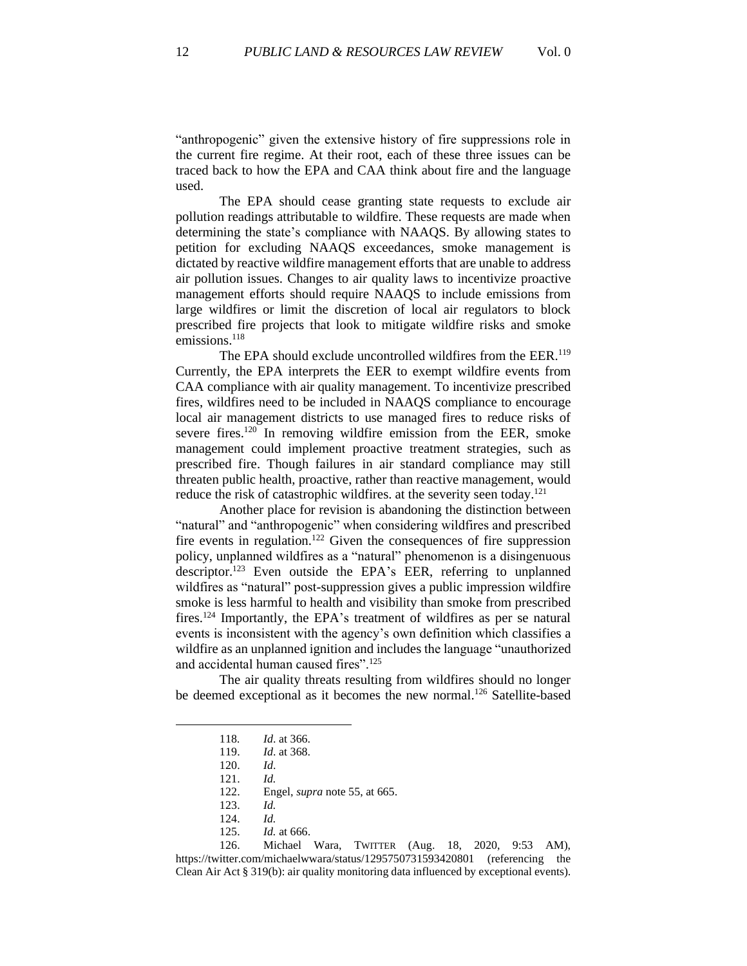"anthropogenic" given the extensive history of fire suppressions role in the current fire regime. At their root, each of these three issues can be traced back to how the EPA and CAA think about fire and the language used.

The EPA should cease granting state requests to exclude air pollution readings attributable to wildfire. These requests are made when determining the state's compliance with NAAQS. By allowing states to petition for excluding NAAQS exceedances, smoke management is dictated by reactive wildfire management efforts that are unable to address air pollution issues. Changes to air quality laws to incentivize proactive management efforts should require NAAQS to include emissions from large wildfires or limit the discretion of local air regulators to block prescribed fire projects that look to mitigate wildfire risks and smoke emissions. 118

The EPA should exclude uncontrolled wildfires from the EER.<sup>119</sup> Currently, the EPA interprets the EER to exempt wildfire events from CAA compliance with air quality management. To incentivize prescribed fires, wildfires need to be included in NAAQS compliance to encourage local air management districts to use managed fires to reduce risks of severe fires.<sup>120</sup> In removing wildfire emission from the EER, smoke management could implement proactive treatment strategies, such as prescribed fire. Though failures in air standard compliance may still threaten public health, proactive, rather than reactive management, would reduce the risk of catastrophic wildfires. at the severity seen today.<sup>121</sup>

Another place for revision is abandoning the distinction between "natural" and "anthropogenic" when considering wildfires and prescribed fire events in regulation.<sup>122</sup> Given the consequences of fire suppression policy, unplanned wildfires as a "natural" phenomenon is a disingenuous descriptor.<sup>123</sup> Even outside the EPA's EER, referring to unplanned wildfires as "natural" post-suppression gives a public impression wildfire smoke is less harmful to health and visibility than smoke from prescribed fires.<sup>124</sup> Importantly, the EPA's treatment of wildfires as per se natural events is inconsistent with the agency's own definition which classifies a wildfire as an unplanned ignition and includes the language "unauthorized and accidental human caused fires".<sup>125</sup>

The air quality threats resulting from wildfires should no longer be deemed exceptional as it becomes the new normal.<sup>126</sup> Satellite-based

122. Engel, *supra* note 55, at 665.

126. Michael Wara, TWITTER (Aug. 18, 2020, 9:53 AM), https://twitter.com/michaelwwara/status/1295750731593420801 (referencing the Clean Air Act § 319(b): air quality monitoring data influenced by exceptional events).

<sup>118</sup>*. Id*. at 366.

<sup>119.</sup> *Id*. at 368.

<sup>120.</sup> *Id*.

<sup>121.</sup> *Id.*

<sup>123.</sup> *Id.*

<sup>124.</sup> *Id.* 

<sup>125.</sup> *Id.* at 666.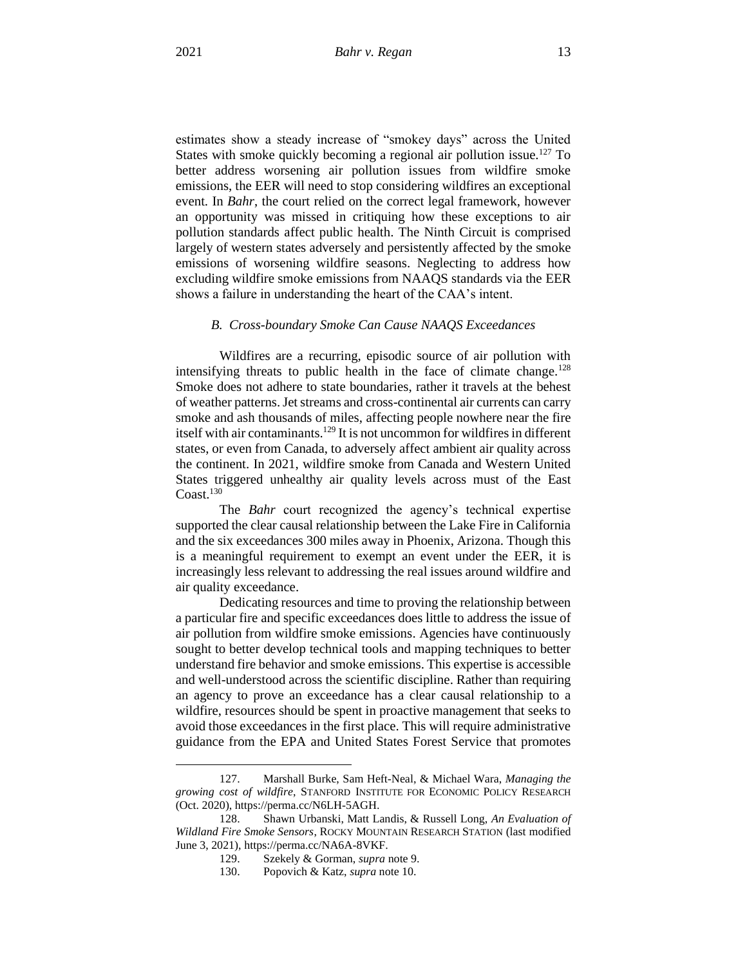estimates show a steady increase of "smokey days" across the United States with smoke quickly becoming a regional air pollution issue.<sup>127</sup> To better address worsening air pollution issues from wildfire smoke emissions, the EER will need to stop considering wildfires an exceptional event. In *Bahr*, the court relied on the correct legal framework, however an opportunity was missed in critiquing how these exceptions to air pollution standards affect public health. The Ninth Circuit is comprised largely of western states adversely and persistently affected by the smoke emissions of worsening wildfire seasons. Neglecting to address how excluding wildfire smoke emissions from NAAQS standards via the EER shows a failure in understanding the heart of the CAA's intent.

#### *B. Cross-boundary Smoke Can Cause NAAQS Exceedances*

Wildfires are a recurring, episodic source of air pollution with intensifying threats to public health in the face of climate change.<sup>128</sup> Smoke does not adhere to state boundaries, rather it travels at the behest of weather patterns.Jet streams and cross-continental air currents can carry smoke and ash thousands of miles, affecting people nowhere near the fire itself with air contaminants.<sup>129</sup> It is not uncommon for wildfires in different states, or even from Canada, to adversely affect ambient air quality across the continent. In 2021, wildfire smoke from Canada and Western United States triggered unhealthy air quality levels across must of the East Coast.<sup>130</sup>

The *Bahr* court recognized the agency's technical expertise supported the clear causal relationship between the Lake Fire in California and the six exceedances 300 miles away in Phoenix, Arizona. Though this is a meaningful requirement to exempt an event under the EER, it is increasingly less relevant to addressing the real issues around wildfire and air quality exceedance.

Dedicating resources and time to proving the relationship between a particular fire and specific exceedances does little to address the issue of air pollution from wildfire smoke emissions. Agencies have continuously sought to better develop technical tools and mapping techniques to better understand fire behavior and smoke emissions. This expertise is accessible and well-understood across the scientific discipline. Rather than requiring an agency to prove an exceedance has a clear causal relationship to a wildfire, resources should be spent in proactive management that seeks to avoid those exceedances in the first place. This will require administrative guidance from the EPA and United States Forest Service that promotes

<sup>127.</sup> Marshall Burke, Sam Heft-Neal, & Michael Wara, *Managing the growing cost of wildfire*, STANFORD INSTITUTE FOR ECONOMIC POLICY RESEARCH (Oct. 2020), https://perma.cc/N6LH-5AGH.

<sup>128.</sup> Shawn Urbanski, Matt Landis, & Russell Long, *An Evaluation of Wildland Fire Smoke Sensors*, ROCKY MOUNTAIN RESEARCH STATION (last modified June 3, 2021), https://perma.cc/NA6A-8VKF.

<sup>129.</sup> Szekely & Gorman, *supra* note 9.

<sup>130.</sup> Popovich & Katz, *supra* note 10.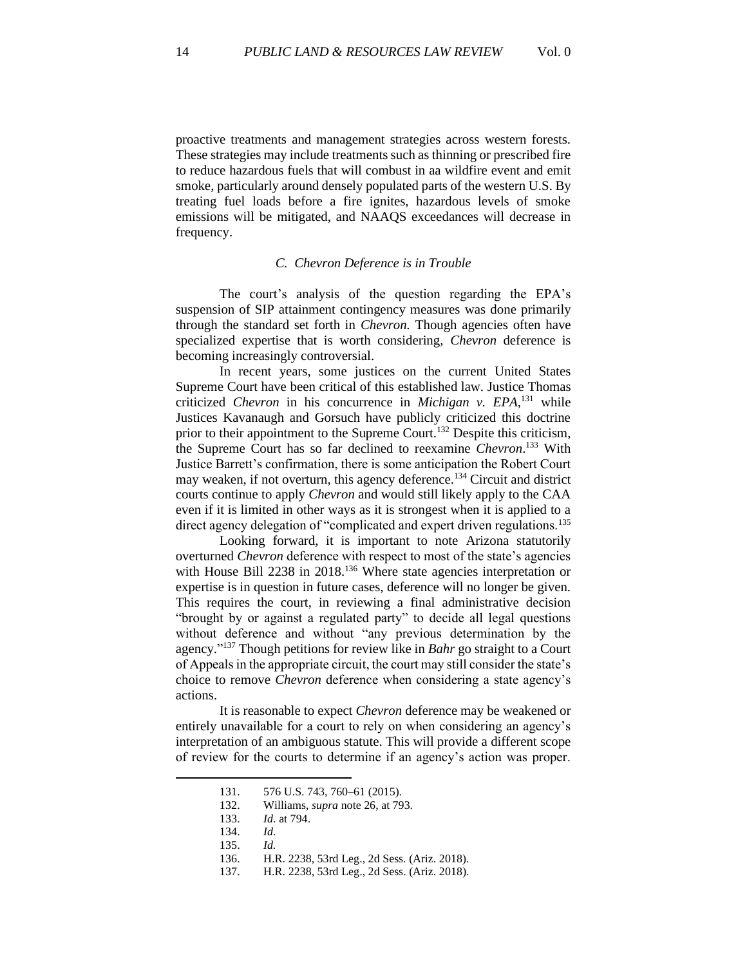proactive treatments and management strategies across western forests. These strategies may include treatments such as thinning or prescribed fire to reduce hazardous fuels that will combust in aa wildfire event and emit smoke, particularly around densely populated parts of the western U.S. By treating fuel loads before a fire ignites, hazardous levels of smoke emissions will be mitigated, and NAAQS exceedances will decrease in frequency.

#### *C. Chevron Deference is in Trouble*

The court's analysis of the question regarding the EPA's suspension of SIP attainment contingency measures was done primarily through the standard set forth in *Chevron.* Though agencies often have specialized expertise that is worth considering, *Chevron* deference is becoming increasingly controversial.

In recent years, some justices on the current United States Supreme Court have been critical of this established law. Justice Thomas criticized *Chevron* in his concurrence in *Michigan v. EPA*, <sup>131</sup> while Justices Kavanaugh and Gorsuch have publicly criticized this doctrine prior to their appointment to the Supreme Court.<sup>132</sup> Despite this criticism, the Supreme Court has so far declined to reexamine *Chevron*. <sup>133</sup> With Justice Barrett's confirmation, there is some anticipation the Robert Court may weaken, if not overturn, this agency deference.<sup>134</sup> Circuit and district courts continue to apply *Chevron* and would still likely apply to the CAA even if it is limited in other ways as it is strongest when it is applied to a direct agency delegation of "complicated and expert driven regulations.<sup>135</sup>

Looking forward, it is important to note Arizona statutorily overturned *Chevron* deference with respect to most of the state's agencies with House Bill 2238 in 2018.<sup>136</sup> Where state agencies interpretation or expertise is in question in future cases, deference will no longer be given. This requires the court, in reviewing a final administrative decision "brought by or against a regulated party" to decide all legal questions without deference and without "any previous determination by the agency." <sup>137</sup> Though petitions for review like in *Bahr* go straight to a Court of Appeals in the appropriate circuit, the court may still consider the state's choice to remove *Chevron* deference when considering a state agency's actions.

It is reasonable to expect *Chevron* deference may be weakened or entirely unavailable for a court to rely on when considering an agency's interpretation of an ambiguous statute. This will provide a different scope of review for the courts to determine if an agency's action was proper.

132. Williams, *supra* note 26, at 793.

134. *Id*.

<sup>131.</sup> 576 U.S. 743, 760–61 (2015).

<sup>133.</sup> *Id*. at 794.

<sup>135.</sup> *Id.*

<sup>136.</sup> H.R. 2238, 53rd Leg., 2d Sess. (Ariz. 2018).

<sup>137.</sup> H.R. 2238, 53rd Leg., 2d Sess. (Ariz. 2018).